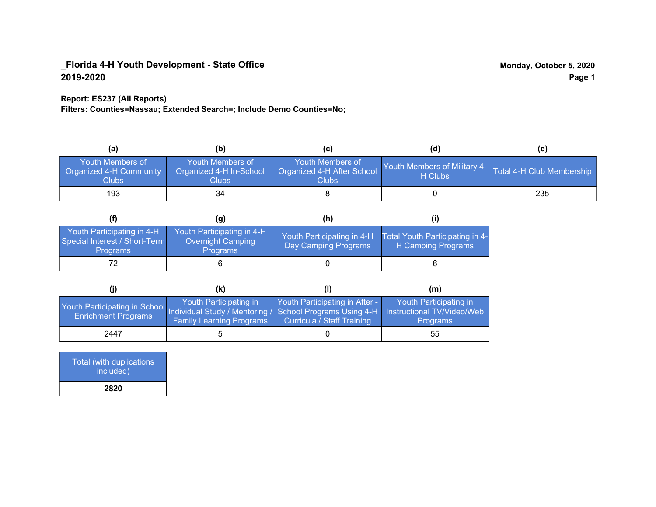### **Report: ES237 (All Reports)**

**Filters: Counties=Nassau; Extended Search=; Include Demo Counties=No;**

| (a)                                                         | (b)                                                   | (C)                                                       | (d)                                     | (e)                       |
|-------------------------------------------------------------|-------------------------------------------------------|-----------------------------------------------------------|-----------------------------------------|---------------------------|
| <b>Youth Members of</b><br>Organized 4-H Community<br>Clubs | Youth Members of<br>Organized 4-H In-School<br>Clubs: | Youth Members of<br>Organized 4-H After School<br>Clubs : | Youth Members of Military 4-<br>H Clubs | Total 4-H Club Membership |
| 193                                                         | 34                                                    |                                                           |                                         | 235                       |

|                                                                                | (g)                                                                       | (h)                                                |                                                       |
|--------------------------------------------------------------------------------|---------------------------------------------------------------------------|----------------------------------------------------|-------------------------------------------------------|
| Youth Participating in 4-H<br>Special Interest / Short-Term<br><b>Programs</b> | Youth Participating in 4-H<br><b>Overnight Camping</b><br><b>Programs</b> | Youth Participating in 4-H<br>Day Camping Programs | Total Youth Participating in 4-<br>H Camping Programs |
|                                                                                |                                                                           |                                                    |                                                       |

|                                                                                                                                                   | (K)                                                       |                                                                     | (m)                                       |
|---------------------------------------------------------------------------------------------------------------------------------------------------|-----------------------------------------------------------|---------------------------------------------------------------------|-------------------------------------------|
| Youth Participating in School Individual Study / Mentoring / School Programs Using 4-H   Instructional TV/Video/Web<br><b>Enrichment Programs</b> | Youth Participating in<br><b>Family Learning Programs</b> | Youth Participating in After -<br><b>Curricula / Staff Training</b> | Youth Participating in<br><b>Programs</b> |
| 2447                                                                                                                                              |                                                           |                                                                     | 55                                        |

| <b>Total (with duplications</b><br>included) |
|----------------------------------------------|
| 2820                                         |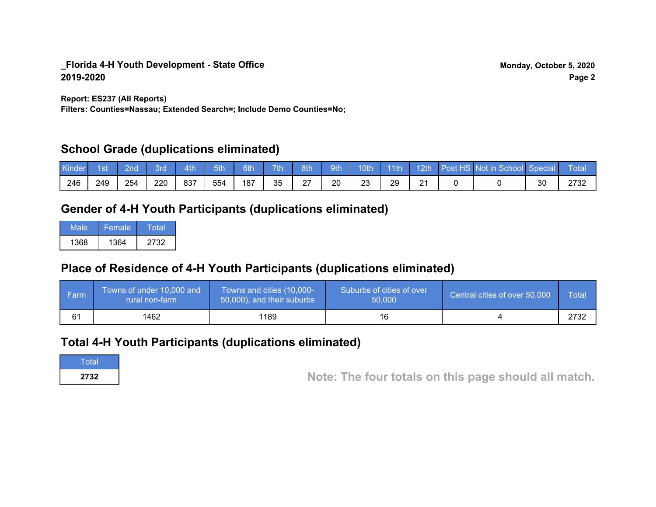**Report: ES237 (All Reports)**

**Filters: Counties=Nassau; Extended Search=; Include Demo Counties=No;**

### **School Grade (duplications eliminated)**

| Kinde | 1st | 2nd | 8rd | 4th | 5th | 6th | <b>7th</b> | 8th | 9th | 10th    | $-11$ th | 12th                 | Post HS Not in School Special |    | Total |
|-------|-----|-----|-----|-----|-----|-----|------------|-----|-----|---------|----------|----------------------|-------------------------------|----|-------|
| 246   | 249 | 254 | 220 | 837 | 554 | 187 | 35         | 27  | 20  | ົ<br>ںے | 29       | $\Omega$<br><u>.</u> |                               | 30 | מדם   |

## **Gender of 4-H Youth Participants (duplications eliminated)**

| Male | Female | Total |
|------|--------|-------|
| 1368 | 1364   | 2732  |

# **Place of Residence of 4-H Youth Participants (duplications eliminated)**

| ∣ Farm | Towns of under 10,000 and<br>rural non-farm | Towns and cities (10,000-<br>50,000), and their suburbs | Suburbs of cities of over<br>50,000 | Central cities of over 50,000 | Total |
|--------|---------------------------------------------|---------------------------------------------------------|-------------------------------------|-------------------------------|-------|
| 61     | 1462                                        | 1189                                                    | 16                                  |                               | 2732  |

### **Total 4-H Youth Participants (duplications eliminated)**

**Total** 

**2732 Note: The four totals on this page should all match.**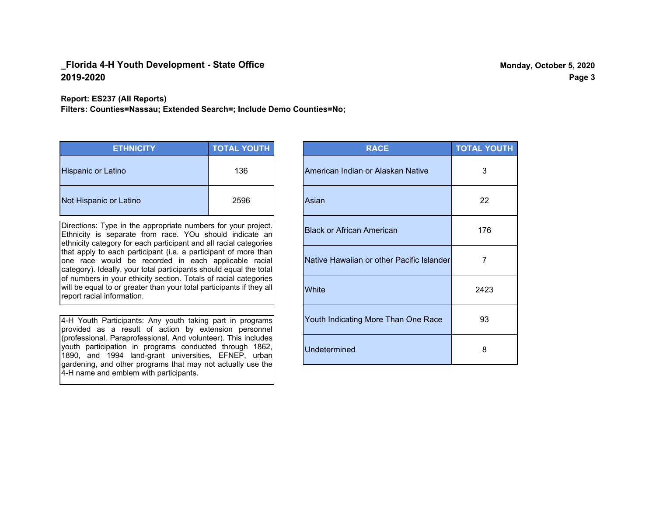**Report: ES237 (All Reports)**

**Filters: Counties=Nassau; Extended Search=; Include Demo Counties=No;**

| <b>ETHNICITY</b>          | <b>TOTAL YOUTH</b> |
|---------------------------|--------------------|
| <b>Hispanic or Latino</b> | 136                |
| Not Hispanic or Latino    | 2596               |

Directions: Type in the appropriate numbers for your project. Ethnicity is separate from race. YOu should indicate an ethnicity category for each participant and all racial categories that apply to each participant (i.e. a participant of more than one race would be recorded in each applicable racial category). Ideally, your total participants should equal the total of numbers in your ethicity section. Totals of racial categories will be equal to or greater than your total participants if they all report racial information.

4-H Youth Participants: Any youth taking part in programs provided as a result of action by extension personnel (professional. Paraprofessional. And volunteer). This includes youth participation in programs conducted through 1862, 1890, and 1994 land-grant universities, EFNEP, urban gardening, and other programs that may not actually use the 4-H name and emblem with participants.

| <b>RACE</b>                               | <b>TOTAL YOUTH</b> |
|-------------------------------------------|--------------------|
| American Indian or Alaskan Native         | 3                  |
| Asian                                     | 22                 |
| <b>Black or African American</b>          | 176                |
| Native Hawaiian or other Pacific Islander | 7                  |
| White                                     | 2423               |
| Youth Indicating More Than One Race       | 93                 |
| <b>Undetermined</b>                       | 8                  |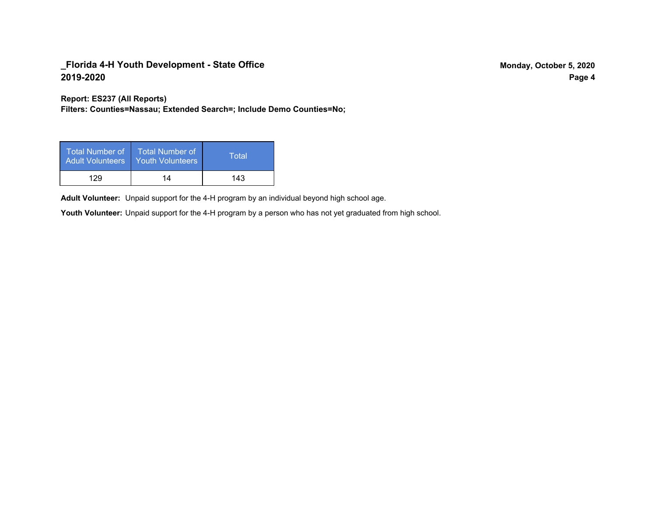**Report: ES237 (All Reports)**

**Filters: Counties=Nassau; Extended Search=; Include Demo Counties=No;**

| Total Number of<br><b>Adult Volunteers</b> | <b>Total Number of</b><br><b>Youth Volunteers</b> | Total |
|--------------------------------------------|---------------------------------------------------|-------|
| 129                                        | 14                                                | 143   |

Adult Volunteer: Unpaid support for the 4-H program by an individual beyond high school age.

Youth Volunteer: Unpaid support for the 4-H program by a person who has not yet graduated from high school.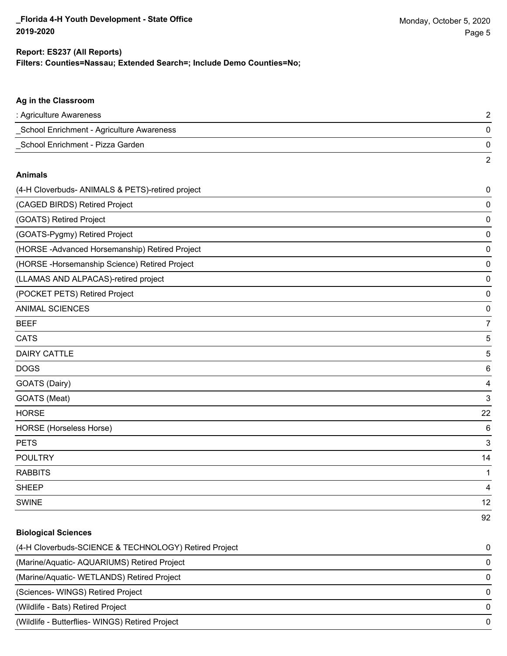#### **Filters: Counties=Nassau; Extended Search=; Include Demo Counties=No; Report: ES237 (All Reports)**

# **Ag in the Classroom** : Agriculture Awareness 2 \_School Enrichment - Agriculture Awareness 0 \_School Enrichment - Pizza Garden 0 2 **Animals** (4-H Cloverbuds- ANIMALS & PETS)-retired project 0 (CAGED BIRDS) Retired Project 0 (GOATS) Retired Project 0 (GOATS-Pygmy) Retired Project 0 (HORSE -Advanced Horsemanship) Retired Project 0 (HORSE -Horsemanship Science) Retired Project 0 (LLAMAS AND ALPACAS)-retired project 0 (POCKET PETS) Retired Project 0 ANIMAL SCIENCES 0 BEEF 7 cats the contract of the contract of the contract of the contract of the contract of the contract of the contract of the contract of the contract of the contract of the contract of the contract of the contract of the contr  $\blacksquare$  DAIRY CATTLE  $\blacksquare$ DOGS 6 GOATS (Dairy) 4 GOATS (Meat) 3 HORSE 22 HORSE (Horseless Horse) 6 PETS 3 POULTRY 14 RABBITS 1

SWINE 12

92

# **Biological Sciences** (4-H Cloverbuds-SCIENCE & TECHNOLOGY) Retired Project 0 (Marine/Aquatic- AQUARIUMS) Retired Project 0 (Marine/Aquatic- WETLANDS) Retired Project 0 (Sciences- WINGS) Retired Project 0 (Wildlife - Bats) Retired Project 0 (Wildlife - Butterflies- WINGS) Retired Project 0

SHEEP 4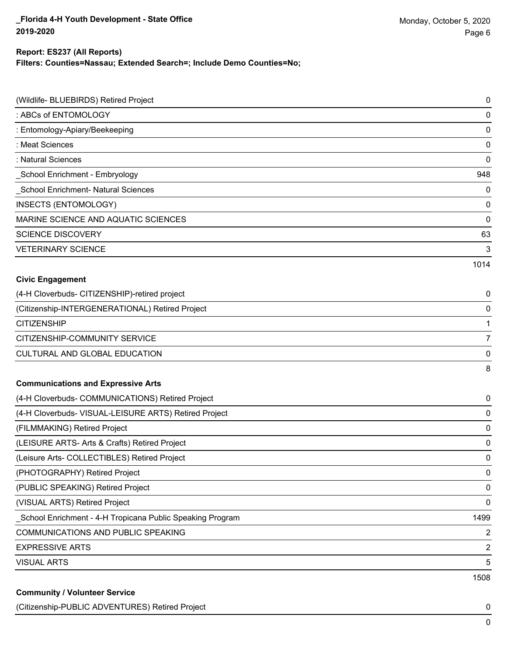### **Filters: Counties=Nassau; Extended Search=; Include Demo Counties=No; Report: ES237 (All Reports)**

| (Wildlife- BLUEBIRDS) Retired Project                     | 0                       |
|-----------------------------------------------------------|-------------------------|
| : ABCs of ENTOMOLOGY                                      | 0                       |
| : Entomology-Apiary/Beekeeping                            | 0                       |
| : Meat Sciences                                           | 0                       |
| : Natural Sciences                                        | 0                       |
| School Enrichment - Embryology                            | 948                     |
| School Enrichment- Natural Sciences                       | 0                       |
| <b>INSECTS (ENTOMOLOGY)</b>                               | 0                       |
| MARINE SCIENCE AND AQUATIC SCIENCES                       | 0                       |
| <b>SCIENCE DISCOVERY</b>                                  | 63                      |
| <b>VETERINARY SCIENCE</b>                                 | 3                       |
|                                                           | 1014                    |
| <b>Civic Engagement</b>                                   |                         |
| (4-H Cloverbuds- CITIZENSHIP)-retired project             | 0                       |
| (Citizenship-INTERGENERATIONAL) Retired Project           | 0                       |
| <b>CITIZENSHIP</b>                                        |                         |
| CITIZENSHIP-COMMUNITY SERVICE                             | 7                       |
| CULTURAL AND GLOBAL EDUCATION                             | 0                       |
|                                                           | 8                       |
| <b>Communications and Expressive Arts</b>                 |                         |
| (4-H Cloverbuds- COMMUNICATIONS) Retired Project          | 0                       |
| (4-H Cloverbuds- VISUAL-LEISURE ARTS) Retired Project     | 0                       |
| (FILMMAKING) Retired Project                              | 0                       |
| (LEISURE ARTS- Arts & Crafts) Retired Project             | 0                       |
| (Leisure Arts- COLLECTIBLES) Retired Project              | 0                       |
| (PHOTOGRAPHY) Retired Project                             | 0                       |
| (PUBLIC SPEAKING) Retired Project                         | 0                       |
| (VISUAL ARTS) Retired Project                             | $\mathbf 0$             |
| School Enrichment - 4-H Tropicana Public Speaking Program | 1499                    |
| COMMUNICATIONS AND PUBLIC SPEAKING                        | 2                       |
| <b>EXPRESSIVE ARTS</b>                                    | $\overline{\mathbf{c}}$ |
| <b>VISUAL ARTS</b>                                        | 5                       |
|                                                           | 1508                    |
| <b>Community / Volunteer Service</b>                      |                         |

### (Citizenship-PUBLIC ADVENTURES) Retired Project 0

0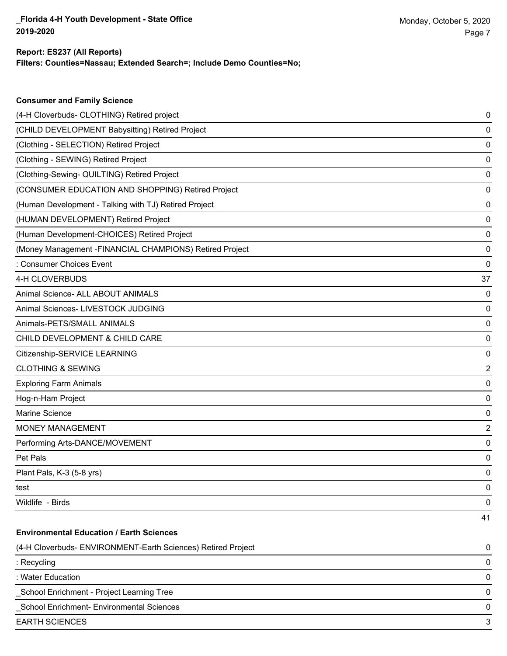**Consumer and Family Science**

### **Filters: Counties=Nassau; Extended Search=; Include Demo Counties=No; Report: ES237 (All Reports)**

| (4-H Cloverbuds- CLOTHING) Retired project                   | 0                       |
|--------------------------------------------------------------|-------------------------|
| (CHILD DEVELOPMENT Babysitting) Retired Project              | 0                       |
| (Clothing - SELECTION) Retired Project                       | 0                       |
| (Clothing - SEWING) Retired Project                          | 0                       |
| (Clothing-Sewing- QUILTING) Retired Project                  | 0                       |
| (CONSUMER EDUCATION AND SHOPPING) Retired Project            | 0                       |
| (Human Development - Talking with TJ) Retired Project        | 0                       |
| (HUMAN DEVELOPMENT) Retired Project                          | 0                       |
| (Human Development-CHOICES) Retired Project                  | 0                       |
| (Money Management -FINANCIAL CHAMPIONS) Retired Project      | 0                       |
| : Consumer Choices Event                                     | 0                       |
| 4-H CLOVERBUDS                                               | 37                      |
| Animal Science- ALL ABOUT ANIMALS                            | 0                       |
| Animal Sciences- LIVESTOCK JUDGING                           | 0                       |
| Animals-PETS/SMALL ANIMALS                                   | 0                       |
| CHILD DEVELOPMENT & CHILD CARE                               | 0                       |
| Citizenship-SERVICE LEARNING                                 | 0                       |
| <b>CLOTHING &amp; SEWING</b>                                 | $\overline{2}$          |
| <b>Exploring Farm Animals</b>                                | 0                       |
| Hog-n-Ham Project                                            | 0                       |
| Marine Science                                               | 0                       |
| <b>MONEY MANAGEMENT</b>                                      | $\overline{\mathbf{c}}$ |
| Performing Arts-DANCE/MOVEMENT                               | 0                       |
| Pet Pals                                                     | 0                       |
| Plant Pals, K-3 (5-8 yrs)                                    | 0                       |
| test                                                         | 0                       |
| Wildlife - Birds                                             | 0                       |
|                                                              | 41                      |
| <b>Environmental Education / Earth Sciences</b>              |                         |
| (4-H Cloverbuds- ENVIRONMENT-Earth Sciences) Retired Project | 0                       |
| : Recycling                                                  | 0                       |
| : Water Education                                            | 0                       |
| School Enrichment - Project Learning Tree                    | 0                       |
| School Enrichment- Environmental Sciences                    | 0                       |
| <b>EARTH SCIENCES</b>                                        | 3                       |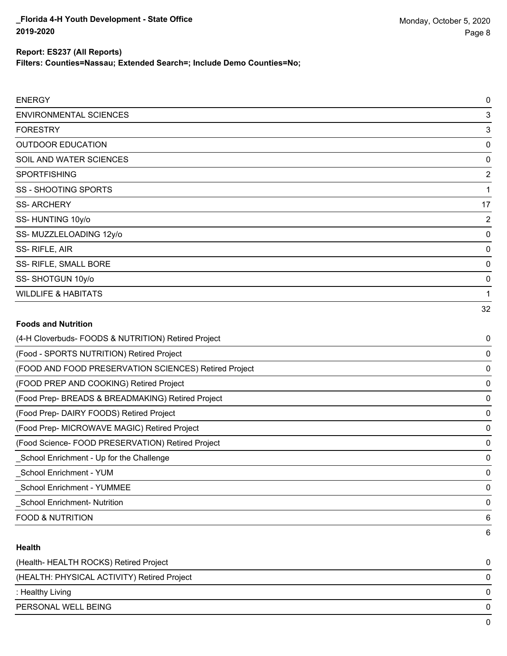**Filters: Counties=Nassau; Extended Search=; Include Demo Counties=No;**

| <b>ENERGY</b>                                         | $\mathbf 0$    |
|-------------------------------------------------------|----------------|
| <b>ENVIRONMENTAL SCIENCES</b>                         | 3              |
| <b>FORESTRY</b>                                       | 3              |
| <b>OUTDOOR EDUCATION</b>                              | 0              |
| SOIL AND WATER SCIENCES                               | 0              |
| <b>SPORTFISHING</b>                                   | $\overline{2}$ |
| <b>SS-SHOOTING SPORTS</b>                             | 1              |
| <b>SS-ARCHERY</b>                                     | 17             |
| SS-HUNTING 10y/o                                      | $\overline{2}$ |
| SS-MUZZLELOADING 12y/o                                | $\Omega$       |
| SS-RIFLE, AIR                                         | 0              |
| SS- RIFLE, SMALL BORE                                 | 0              |
| SS-SHOTGUN 10y/o                                      | 0              |
| <b>WILDLIFE &amp; HABITATS</b>                        | 1              |
|                                                       | 32             |
| <b>Foods and Nutrition</b>                            |                |
| (4-H Cloverbuds- FOODS & NUTRITION) Retired Project   | 0              |
| (Food - SPORTS NUTRITION) Retired Project             | 0              |
| (FOOD AND FOOD PRESERVATION SCIENCES) Retired Project | 0              |
| (FOOD PREP AND COOKING) Retired Project               | 0              |
| (Food Prep- BREADS & BREADMAKING) Retired Project     | 0              |
| (Food Prep- DAIRY FOODS) Retired Project              | 0              |
| (Food Prep- MICROWAVE MAGIC) Retired Project          | 0              |

(Food Science- FOOD PRESERVATION) Retired Project 0 \_School Enrichment - Up for the Challenge 0

\_School Enrichment - YUM 0

\_School Enrichment - YUMMEE 0

\_School Enrichment- Nutrition 0

FOOD & NUTRITION 6

#### **Health**

| (Health-HEALTH ROCKS) Retired Project       |   |
|---------------------------------------------|---|
| (HEALTH: PHYSICAL ACTIVITY) Retired Project | 0 |
| : Healthy Living                            | 0 |
| PERSONAL WELL BEING                         | 0 |
|                                             |   |

6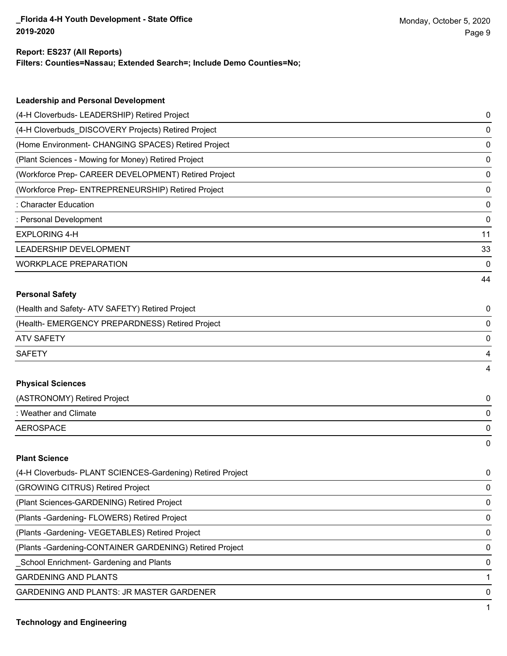### **Report: ES237 (All Reports)**

**Filters: Counties=Nassau; Extended Search=; Include Demo Counties=No;**

| <b>Leadership and Personal Development</b>                 |    |
|------------------------------------------------------------|----|
| (4-H Cloverbuds- LEADERSHIP) Retired Project               | 0  |
| (4-H Cloverbuds_DISCOVERY Projects) Retired Project        | 0  |
| (Home Environment- CHANGING SPACES) Retired Project        | 0  |
| (Plant Sciences - Mowing for Money) Retired Project        | 0  |
| (Workforce Prep- CAREER DEVELOPMENT) Retired Project       | 0  |
| (Workforce Prep- ENTREPRENEURSHIP) Retired Project         | 0  |
| : Character Education                                      | 0  |
| : Personal Development                                     | 0  |
| <b>EXPLORING 4-H</b>                                       | 11 |
| LEADERSHIP DEVELOPMENT                                     | 33 |
| <b>WORKPLACE PREPARATION</b>                               | 0  |
|                                                            | 44 |
| <b>Personal Safety</b>                                     |    |
| (Health and Safety- ATV SAFETY) Retired Project            | 0  |
| (Health- EMERGENCY PREPARDNESS) Retired Project            | 0  |
| <b>ATV SAFETY</b>                                          | 0  |
| <b>SAFETY</b>                                              | 4  |
|                                                            | 4  |
| <b>Physical Sciences</b>                                   |    |
| (ASTRONOMY) Retired Project                                | 0  |
| : Weather and Climate                                      | 0  |
| <b>AEROSPACE</b>                                           | 0  |
|                                                            | 0  |
| <b>Plant Science</b>                                       |    |
| (4-H Cloverbuds- PLANT SCIENCES-Gardening) Retired Project | 0  |
| (GROWING CITRUS) Retired Project                           | 0  |
| (Plant Sciences-GARDENING) Retired Project                 | 0  |
| (Plants - Gardening - FLOWERS) Retired Project             | 0  |
| (Plants - Gardening - VEGETABLES) Retired Project          | 0  |
| (Plants - Gardening-CONTAINER GARDENING) Retired Project   | 0  |
| School Enrichment- Gardening and Plants                    | 0  |

GARDENING AND PLANTS 1

GARDENING AND PLANTS: JR MASTER GARDENER 0